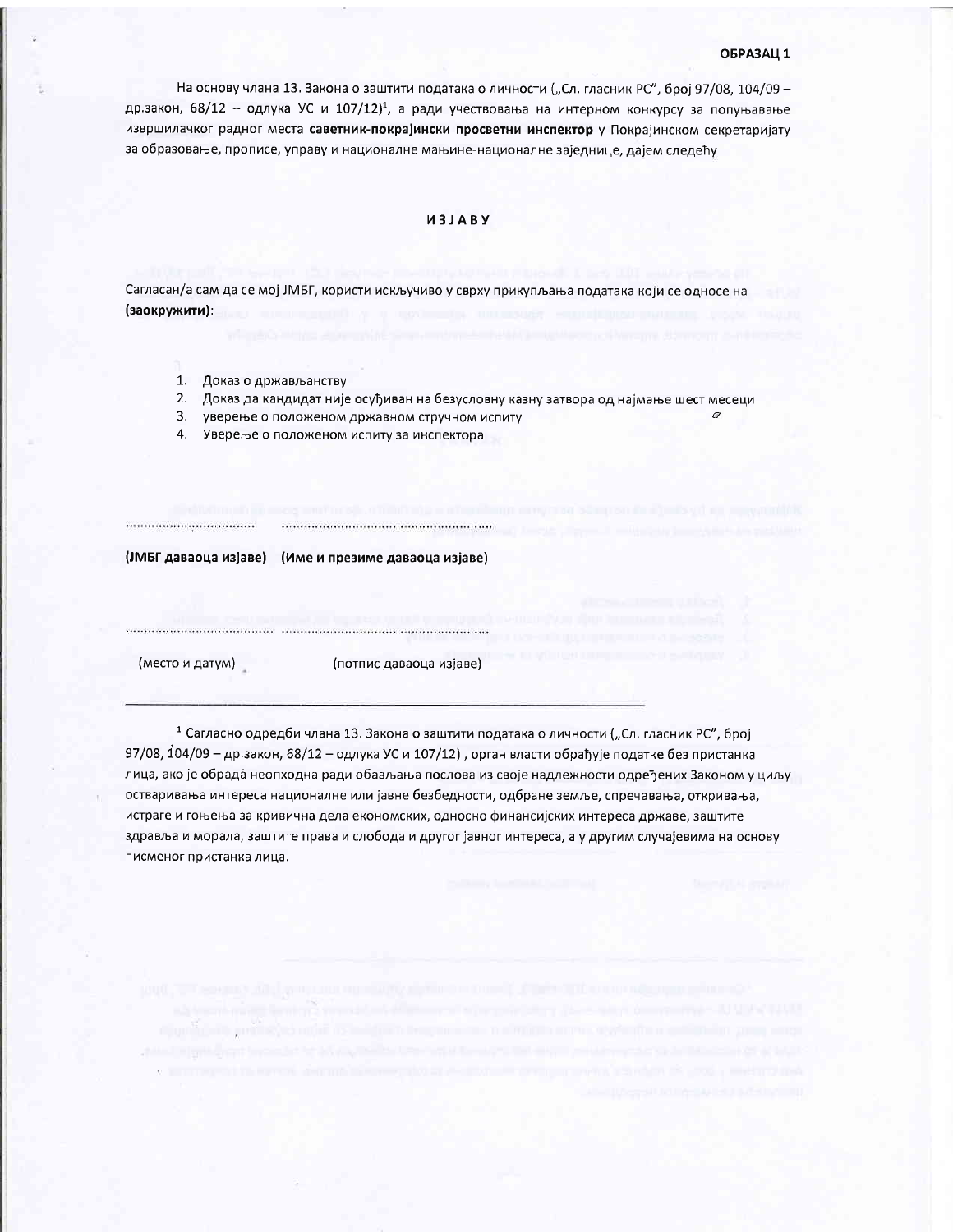#### ОБРАЗАЦ 1

На основу члана 13. Закона о заштити података о личности ("Сл. гласник РС", број 97/08, 104/09 др.закон, 68/12 - одлука УС и 107/12)<sup>1</sup>, а ради учествовања на интерном конкурсу за попуњавање извршилачког радног места саветник-покрајински просветни инспектор у Покрајинском секретаријату за образовање, прописе, управу и националне мањине-националне заједнице, дајем следећу

## *U3JABY*

Сагласан/а сам да се мој ЈМБГ, користи искључиво у сврху прикупљања података који се односе на (заокружити):

- 1. Доказ о држављанству
- 2. Доказ да кандидат није осуђиван на безусловну казну затвора од најмање шест месеци
- 3. уверење о положеном државном стручном испиту
- 4. Уверење о положеном испиту за инспектора

(ЈМБГ даваоца изјаве) (Име и презиме даваоца изјаве)

(место и датум)

..................................

(потпис даваоца изјаве)

<sup>1</sup> Сагласно одредби члана 13. Закона о заштити података о личности ("Сл. гласник РС", број 97/08, 104/09 - др.закон, 68/12 - одлука УС и 107/12), орган власти обрађује податке без пристанка лица, ако је обрада неопходна ради обављања послова из своје надлежности одређених Законом у циљу остваривања интереса националне или јавне безбедности, одбране земље, спречавања, откривања, истраге и гоњења за кривична дела економских, односно финансијских интереса државе, заштите здравља и морала, заштите права и слобода и другог јавног интереса, а у другим случајевима на основу писменог пристанка лица.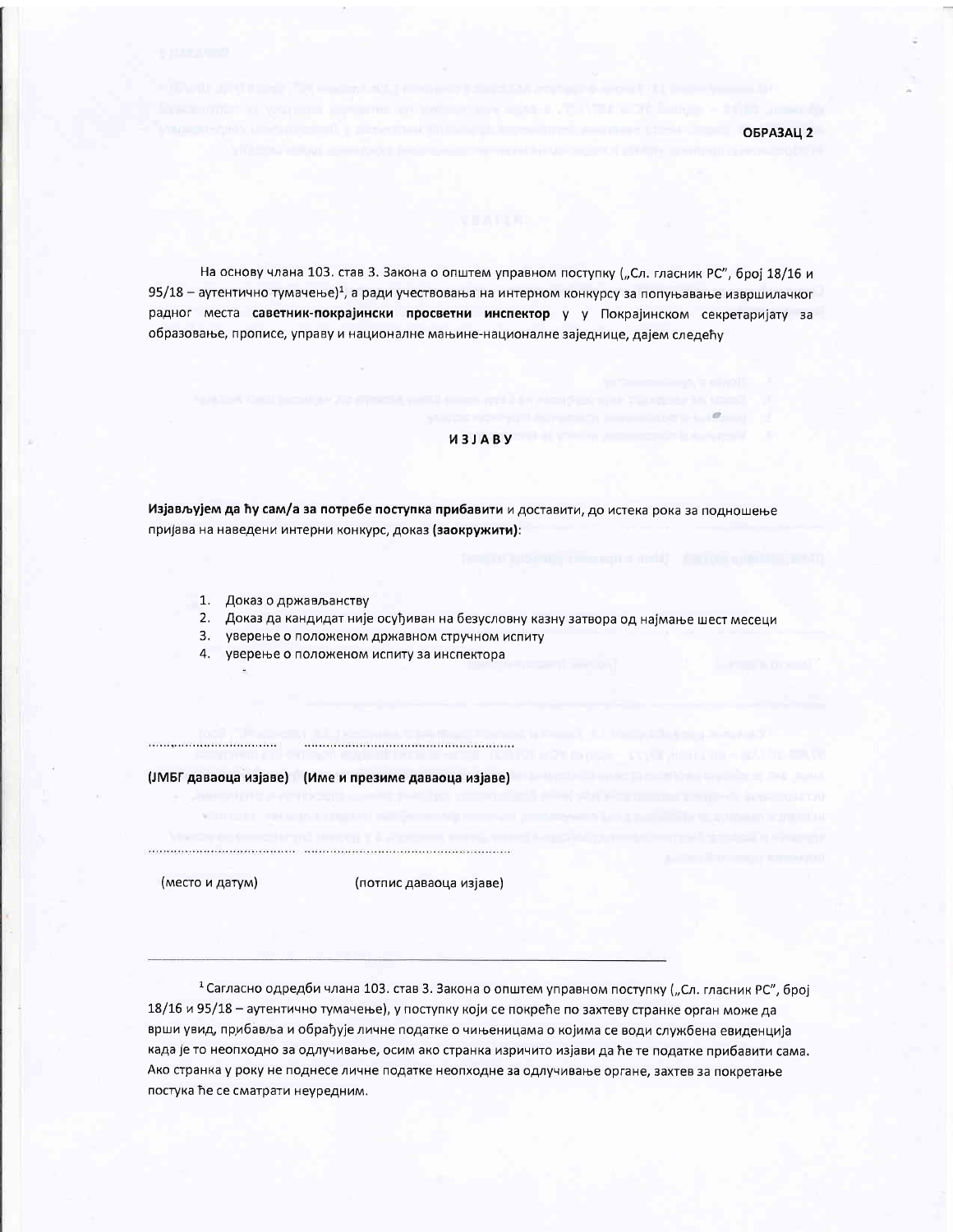OFPA3ALL 2

На основу члана 103. став 3. Закона о општем управном поступку ("Сл. гласник РС", број 18/16 и 95/18 - аутентично тумачење)<sup>1</sup>, а ради учествовања на интерном конкурсу за попуњавање извршилачког радног места саветник-покрајински просветни инспектор у у Покрајинском секретаријату за образовање, прописе, управу и националне мањине-националне заједнице, дајем следећу

#### *M3JABY*

Изјављујем да ћу сам/а за потребе поступка прибавити и доставити, до истека рока за подношење пријава на наведени интерни конкурс, доказ (заокружити):

- 1. Доказ о држављанству
- 2. Доказ да кандидат није осуђиван на безусловну казну затвора од најмање шест месеци
- 3. уверење о положеном државном стручном испиту
- 4. уверење о положеном испиту за инспектора

(ЈМБГ даваоца изјаве) (Име и презиме даваоца изјаве)

(место и датум)

(потпис даваоца изјаве)

1 Сагласно одредби члана 103. став 3. Закона о општем управном поступку ("Сл. гласник РС", број 18/16 и 95/18 - аутентично тумачење), у поступку који се покреће по захтеву странке орган може да врши увид, прибавља и обрађује личне податке о чињеницама о којима се води службена евиденција када је то неопходно за одлучивање, осим ако странка изричито изјави да ће те податке прибавити сама. Ако странка у року не поднесе личне податке неопходне за одлучивање органе, захтев за покретање постука ће се сматрати неуредним.